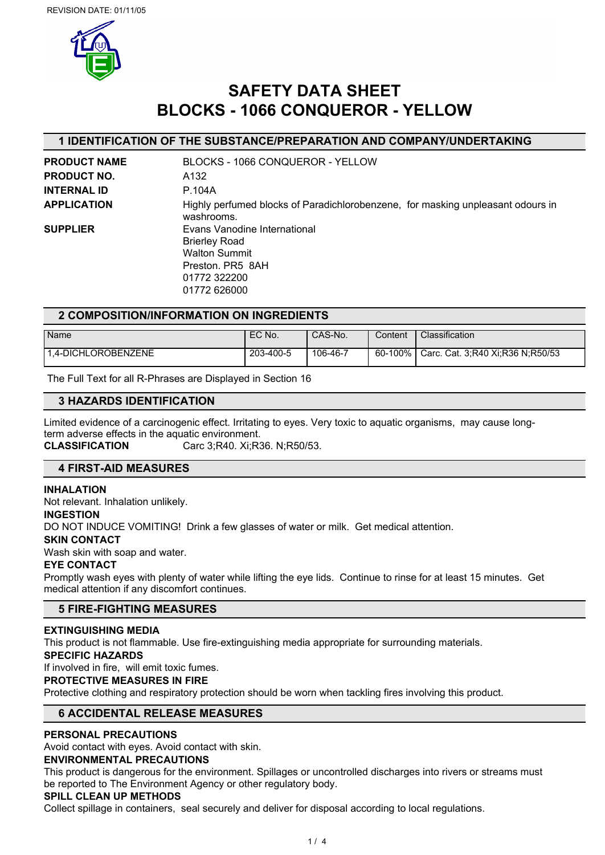

# **SAFETY DATA SHEET BLOCKS - 1066 CONQUEROR - YELLOW**

# **1 IDENTIFICATION OF THE SUBSTANCE/PREPARATION AND COMPANY/UNDERTAKING**

| <b>PRODUCT NAME</b> | BLOCKS - 1066 CONQUEROR - YELLOW                                                                                                 |
|---------------------|----------------------------------------------------------------------------------------------------------------------------------|
| <b>PRODUCT NO.</b>  | A132                                                                                                                             |
| <b>INTERNAL ID</b>  | P.104A                                                                                                                           |
| <b>APPLICATION</b>  | Highly perfumed blocks of Paradichlorobenzene, for masking unpleasant odours in<br>washrooms.                                    |
| <b>SUPPLIER</b>     | Evans Vanodine International<br><b>Brierley Road</b><br><b>Walton Summit</b><br>Preston, PR5 8AH<br>01772 322200<br>01772 626000 |

# **2 COMPOSITION/INFORMATION ON INGREDIENTS**

| Name                | EC No.    | CAS-No.  | Content | Classification                   |
|---------------------|-----------|----------|---------|----------------------------------|
| 1.4-DICHLOROBENZENE | 203-400-5 | 106-46-7 | 60-100% | Carc. Cat. 3;R40 Xi;R36 N;R50/53 |

The Full Text for all R-Phrases are Displayed in Section 16

# **3 HAZARDS IDENTIFICATION**

Limited evidence of a carcinogenic effect. Irritating to eyes. Very toxic to aquatic organisms, may cause longterm adverse effects in the aquatic environment. **CLASSIFICATION** Carc 3;R40. Xi;R36. N;R50/53.

# **4 FIRST-AID MEASURES**

#### **INHALATION**

Not relevant. Inhalation unlikely.

#### **INGESTION**

DO NOT INDUCE VOMITING! Drink a few glasses of water or milk. Get medical attention.

#### **SKIN CONTACT**

Wash skin with soap and water.

#### **EYE CONTACT**

Promptly wash eyes with plenty of water while lifting the eye lids. Continue to rinse for at least 15 minutes. Get medical attention if any discomfort continues.

# **5 FIRE-FIGHTING MEASURES**

# **EXTINGUISHING MEDIA**

This product is not flammable. Use fire-extinguishing media appropriate for surrounding materials.

#### **SPECIFIC HAZARDS**

If involved in fire, will emit toxic fumes.

# **PROTECTIVE MEASURES IN FIRE**

Protective clothing and respiratory protection should be worn when tackling fires involving this product.

# **6 ACCIDENTAL RELEASE MEASURES**

# **PERSONAL PRECAUTIONS**

Avoid contact with eyes. Avoid contact with skin.

#### **ENVIRONMENTAL PRECAUTIONS**

This product is dangerous for the environment. Spillages or uncontrolled discharges into rivers or streams must be reported to The Environment Agency or other regulatory body.

# **SPILL CLEAN UP METHODS**

Collect spillage in containers, seal securely and deliver for disposal according to local regulations.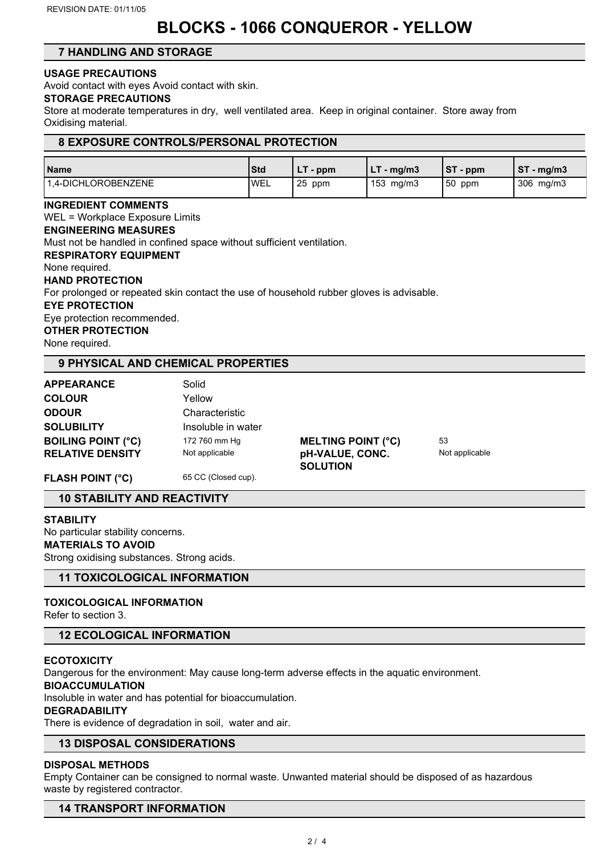# **BLOCKS - 1066 CONQUEROR - YELLOW**

# **7 HANDLING AND STORAGE**

# **USAGE PRECAUTIONS**

Avoid contact with eyes Avoid contact with skin.

#### **STORAGE PRECAUTIONS**

Store at moderate temperatures in dry, well ventilated area. Keep in original container. Store away from Oxidising material.

# **8 EXPOSURE CONTROLS/PERSONAL PROTECTION**

| Name                | <b>Std</b> | $\sim$ ppm | ้ - mg/m3<br>--    | IST<br>$\mathsf{p}$ - ppm | <b>CT</b><br>' - mg/m3<br>ত। |
|---------------------|------------|------------|--------------------|---------------------------|------------------------------|
| 1.4-DICHLOROBENZENE | <b>WEL</b> | -25<br>ppm | $153 \text{ mg/m}$ | 150<br>ppm                | 306<br>mq/m3                 |

#### **INGREDIENT COMMENTS**

WEL = Workplace Exposure Limits **ENGINEERING MEASURES** Must not be handled in confined space without sufficient ventilation. **RESPIRATORY EQUIPMENT** None required. **HAND PROTECTION** For prolonged or repeated skin contact the use of household rubber gloves is advisable. **EYE PROTECTION** Eye protection recommended. **OTHER PROTECTION** None required.

# **9 PHYSICAL AND CHEMICAL PROPERTIES**

| <b>APPEARANCE</b>         | Solid              |                           |                |
|---------------------------|--------------------|---------------------------|----------------|
| <b>COLOUR</b>             | Yellow             |                           |                |
| <b>ODOUR</b>              | Characteristic     |                           |                |
| <b>SOLUBILITY</b>         | Insoluble in water |                           |                |
| <b>BOILING POINT (°C)</b> | 172 760 mm Hq      | <b>MELTING POINT (°C)</b> | 53             |
| <b>RELATIVE DENSITY</b>   | Not applicable     | pH-VALUE, CONC.           | Not applicable |
|                           |                    | <b>SOLUTION</b>           |                |

FLASH POINT (°C) 65 CC (Closed cup).

**10 STABILITY AND REACTIVITY**

#### **STABILITY**

No particular stability concerns.

#### **MATERIALS TO AVOID**

Strong oxidising substances. Strong acids.

# **11 TOXICOLOGICAL INFORMATION**

# **TOXICOLOGICAL INFORMATION**

Refer to section 3.

# **12 ECOLOGICAL INFORMATION**

# **ECOTOXICITY**

Dangerous for the environment: May cause long-term adverse effects in the aquatic environment.

# **BIOACCUMULATION**

Insoluble in water and has potential for bioaccumulation.

# **DEGRADABILITY**

There is evidence of degradation in soil, water and air.

# **13 DISPOSAL CONSIDERATIONS**

# **DISPOSAL METHODS**

Empty Container can be consigned to normal waste. Unwanted material should be disposed of as hazardous waste by registered contractor.

# **14 TRANSPORT INFORMATION**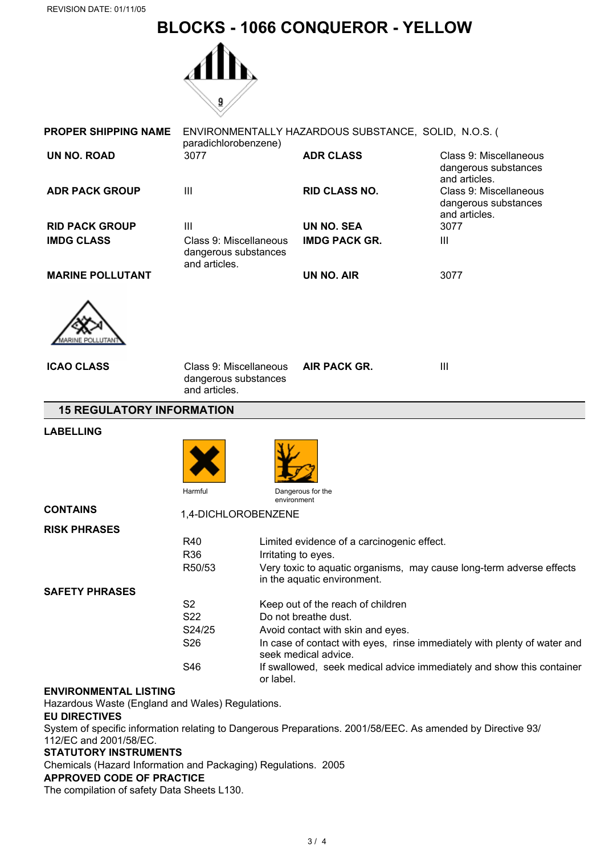# **BLOCKS - 1066 CONQUEROR - YELLOW**



| <b>PROPER SHIPPING NAME</b>      | ENVIRONMENTALLY HAZARDOUS SUBSTANCE, SOLID, N.O.S. (<br>paradichlorobenzene) |                                            |                                                                          |  |
|----------------------------------|------------------------------------------------------------------------------|--------------------------------------------|--------------------------------------------------------------------------|--|
| <b>UN NO. ROAD</b>               | 3077                                                                         | <b>ADR CLASS</b>                           | Class 9: Miscellaneous<br>dangerous substances<br>and articles.          |  |
| <b>ADR PACK GROUP</b>            | III                                                                          | <b>RID CLASS NO.</b>                       | Class 9: Miscellaneous<br>dangerous substances<br>and articles.          |  |
| <b>RID PACK GROUP</b>            | III                                                                          | <b>UN NO. SEA</b>                          | 3077                                                                     |  |
| <b>IMDG CLASS</b>                | Class 9: Miscellaneous<br>dangerous substances<br>and articles.              | <b>IMDG PACK GR.</b>                       | Ш                                                                        |  |
| <b>MARINE POLLUTANT</b>          |                                                                              | <b>UN NO. AIR</b>                          | 3077                                                                     |  |
|                                  |                                                                              |                                            |                                                                          |  |
| <b>ICAO CLASS</b>                | Class 9: Miscellaneous<br>dangerous substances<br>and articles.              | AIR PACK GR.                               | III                                                                      |  |
| <b>15 REGULATORY INFORMATION</b> |                                                                              |                                            |                                                                          |  |
| <b>LABELLING</b>                 |                                                                              |                                            |                                                                          |  |
|                                  |                                                                              |                                            |                                                                          |  |
|                                  | Harmful                                                                      | Dangerous for the<br>environment           |                                                                          |  |
| <b>CONTAINS</b>                  | 1,4-DICHLOROBENZENE                                                          |                                            |                                                                          |  |
| <b>RISK PHRASES</b>              |                                                                              |                                            |                                                                          |  |
|                                  | R40                                                                          | Limited evidence of a carcinogenic effect. |                                                                          |  |
|                                  | R36                                                                          | Irritating to eyes.                        |                                                                          |  |
|                                  | R50/53                                                                       | in the aquatic environment.                | Very toxic to aquatic organisms, may cause long-term adverse effects     |  |
| <b>SAFETY PHRASES</b>            |                                                                              |                                            |                                                                          |  |
|                                  | S <sub>2</sub>                                                               | Keep out of the reach of children          |                                                                          |  |
|                                  | S22                                                                          | Do not breathe dust.                       |                                                                          |  |
|                                  | S24/25                                                                       | Avoid contact with skin and eyes.          |                                                                          |  |
|                                  | S26                                                                          | seek medical advice.                       | In case of contact with eyes, rinse immediately with plenty of water and |  |
|                                  | S46                                                                          | or label.                                  | If swallowed, seek medical advice immediately and show this container    |  |

# **ENVIRONMENTAL LISTING**

Hazardous Waste (England and Wales) Regulations.

# **EU DIRECTIVES**

System of specific information relating to Dangerous Preparations. 2001/58/EEC. As amended by Directive 93/ 112/EC and 2001/58/EC.

# **STATUTORY INSTRUMENTS**

Chemicals (Hazard Information and Packaging) Regulations. 2005

# **APPROVED CODE OF PRACTICE**

The compilation of safety Data Sheets L130.